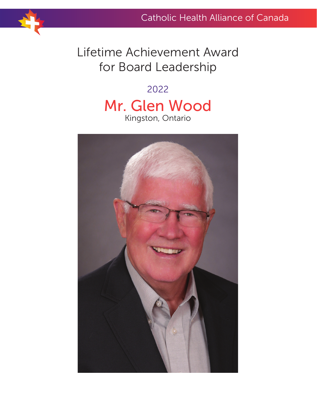## Lifetime Achievement Award for Board Leadership

## 2022 Mr. Glen Wood Kingston, Ontario